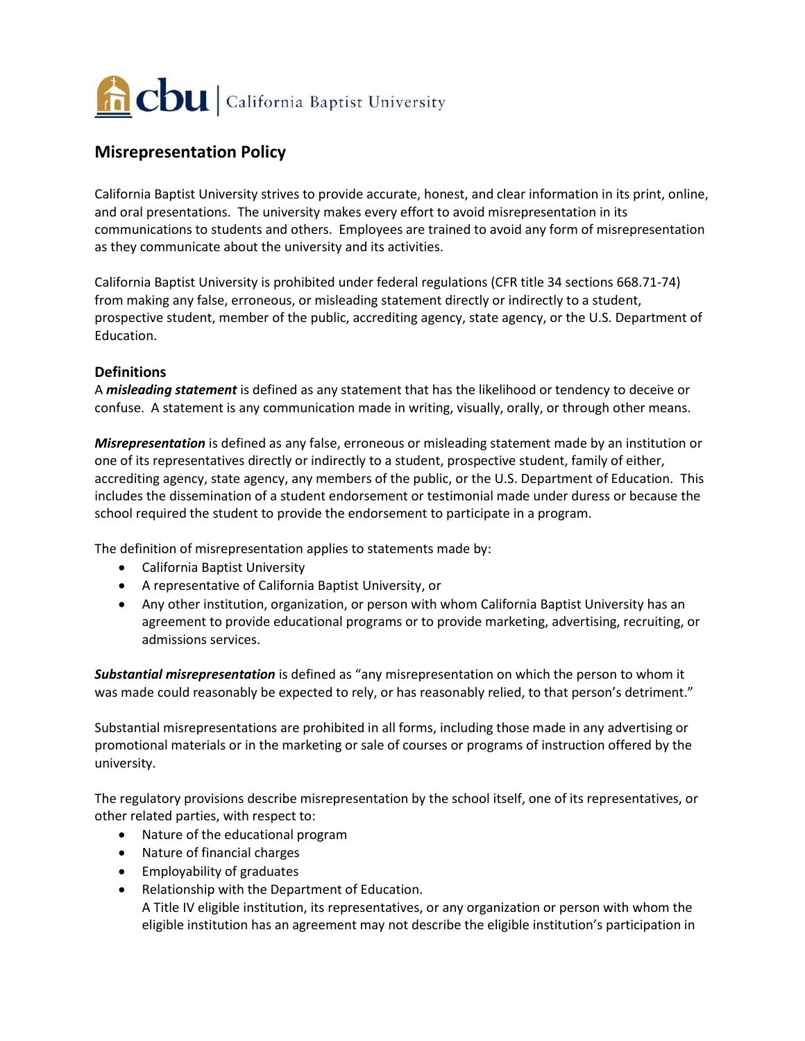

## **Misrepresentation Policy**

California Baptist University strives to provide accurate, honest, and clear information in its print, online, and oral presentations. The university makes every effort to avoid misrepresentation in its communications to students and others. Employees are trained to avoid any form of misrepresentation as they communicate about the university and its activities.

California Baptist University is prohibited under federal regulations (CFR title 34 sections 668.71-74) from making any false, erroneous, or misleading statement directly or indirectly to a student, prospective student, member of the public, accrediting agency, state agency, or the U.S. Department of Education.

## **Definitions**

A *misleading statement* is defined as any statement that has the likelihood or tendency to deceive or confuse. A statement is any communication made in writing, visually, orally, or through other means.

*Misrepresentation* is defined as any false, erroneous or misleading statement made by an institution or one of its representatives directly or indirectly to a student, prospective student, family of either, accrediting agency, state agency, any members of the public, or the U.S. Department of Education. This includes the dissemination of a student endorsement or testimonial made under duress or because the school required the student to provide the endorsement to participate in a program.

The definition of misrepresentation applies to statements made by:

- California Baptist University
- A representative of California Baptist University, or
- Any other institution, organization, or person with whom California Baptist University has an agreement to provide educational programs or to provide marketing, advertising, recruiting, or admissions services.

*Substantial misrepresentation* is defined as "any misrepresentation on which the person to whom it was made could reasonably be expected to rely, or has reasonably relied, to that person's detriment."

Substantial misrepresentations are prohibited in all forms, including those made in any advertising or promotional materials or in the marketing or sale of courses or programs of instruction offered by the university.

The regulatory provisions describe misrepresentation by the school itself, one of its representatives, or other related parties, with respect to:

- Nature of the educational program
- Nature of financial charges
- Employability of graduates
- Relationship with the Department of Education.
- A Title IV eligible institution, its representatives, or any organization or person with whom the eligible institution has an agreement may not describe the eligible institution's participation in